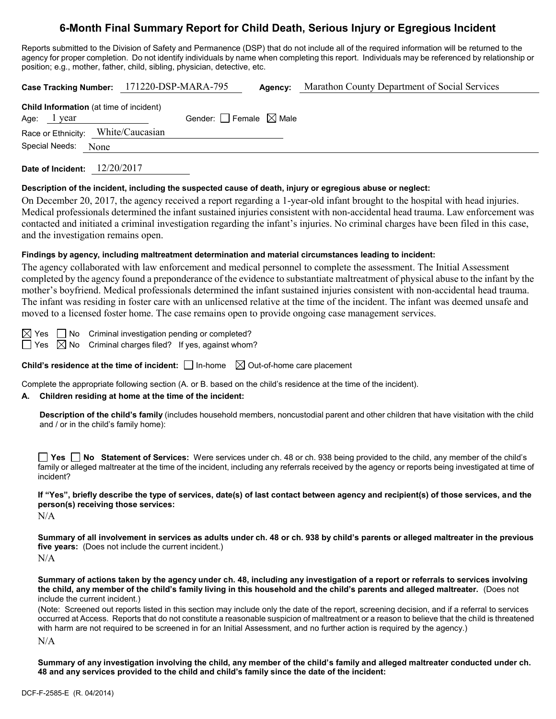# **6-Month Final Summary Report for Child Death, Serious Injury or Egregious Incident**

Reports submitted to the Division of Safety and Permanence (DSP) that do not include all of the required information will be returned to the agency for proper completion. Do not identify individuals by name when completing this report. Individuals may be referenced by relationship or position; e.g., mother, father, child, sibling, physician, detective, etc.

| Case Tracking Number: 171220-DSP-MARA-795                |                                 | Agency: | Marathon County Department of Social Services |
|----------------------------------------------------------|---------------------------------|---------|-----------------------------------------------|
| Child Information (at time of incident)<br>Age: $1$ year | Gender: Female $\boxtimes$ Male |         |                                               |
| Race or Ethnicity: White/Caucasian                       |                                 |         |                                               |
| Special Needs: None                                      |                                 |         |                                               |
|                                                          |                                 |         |                                               |

**Date of Incident:** 12/20/2017

#### **Description of the incident, including the suspected cause of death, injury or egregious abuse or neglect:**

On December 20, 2017, the agency received a report regarding a 1-year-old infant brought to the hospital with head injuries. Medical professionals determined the infant sustained injuries consistent with non-accidental head trauma. Law enforcement was contacted and initiated a criminal investigation regarding the infant's injuries. No criminal charges have been filed in this case, and the investigation remains open.

#### **Findings by agency, including maltreatment determination and material circumstances leading to incident:**

The agency collaborated with law enforcement and medical personnel to complete the assessment. The Initial Assessment completed by the agency found a preponderance of the evidence to substantiate maltreatment of physical abuse to the infant by the mother's boyfriend. Medical professionals determined the infant sustained injuries consistent with non-accidental head trauma. The infant was residing in foster care with an unlicensed relative at the time of the incident. The infant was deemed unsafe and moved to a licensed foster home. The case remains open to provide ongoing case management services.

 $\boxtimes$  Yes  $\Box$  No Criminal investigation pending or completed?

 $\Box$  Yes  $\boxtimes$  No Criminal charges filed? If yes, against whom?

**Child's residence at the time of incident:**  $\Box$  In-home  $\Box$  Out-of-home care placement

Complete the appropriate following section (A. or B. based on the child's residence at the time of the incident).

#### **A. Children residing at home at the time of the incident:**

**Description of the child's family** (includes household members, noncustodial parent and other children that have visitation with the child and / or in the child's family home):

**Yes No Statement of Services:** Were services under ch. 48 or ch. 938 being provided to the child, any member of the child's family or alleged maltreater at the time of the incident, including any referrals received by the agency or reports being investigated at time of incident?

**If "Yes", briefly describe the type of services, date(s) of last contact between agency and recipient(s) of those services, and the person(s) receiving those services:**

N/A

**Summary of all involvement in services as adults under ch. 48 or ch. 938 by child's parents or alleged maltreater in the previous five years:** (Does not include the current incident.) N/A

**Summary of actions taken by the agency under ch. 48, including any investigation of a report or referrals to services involving the child, any member of the child's family living in this household and the child's parents and alleged maltreater.** (Does not include the current incident.)

(Note: Screened out reports listed in this section may include only the date of the report, screening decision, and if a referral to services occurred at Access. Reports that do not constitute a reasonable suspicion of maltreatment or a reason to believe that the child is threatened with harm are not required to be screened in for an Initial Assessment, and no further action is required by the agency.) N/A

**Summary of any investigation involving the child, any member of the child's family and alleged maltreater conducted under ch. 48 and any services provided to the child and child's family since the date of the incident:**